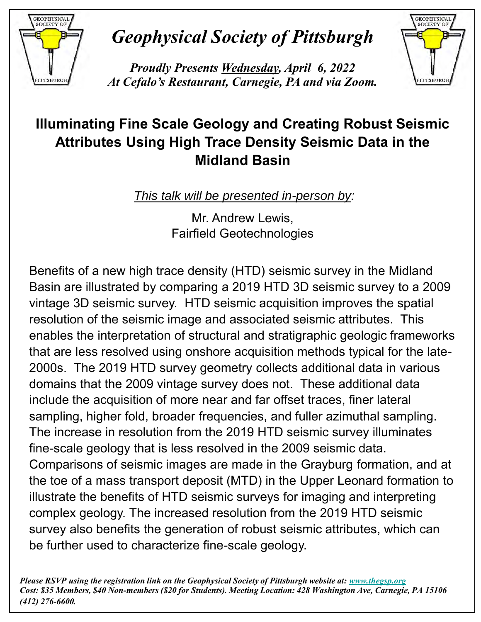

## *Geophysical Society of Pittsburgh*

*Proudly Presents Wednesday, April 6, 2022 At Cefalo's Restaurant, Carnegie, PA and via Zoom.*



## **Illuminating Fine Scale Geology and Creating Robust Seismic Attributes Using High Trace Density Seismic Data in the Midland Basin**

*This talk will be presented in-person by:* 

Mr. Andrew Lewis, Fairfield Geotechnologies

Benefits of a new high trace density (HTD) seismic survey in the Midland Basin are illustrated by comparing a 2019 HTD 3D seismic survey to a 2009 vintage 3D seismic survey. HTD seismic acquisition improves the spatial resolution of the seismic image and associated seismic attributes. This enables the interpretation of structural and stratigraphic geologic frameworks that are less resolved using onshore acquisition methods typical for the late-2000s. The 2019 HTD survey geometry collects additional data in various domains that the 2009 vintage survey does not. These additional data include the acquisition of more near and far offset traces, finer lateral . sampling, higher fold, broader frequencies, and fuller azimuthal sampling. The increase in resolution from the 2019 HTD seismic survey illuminates fine-scale geology that is less resolved in the 2009 seismic data. Comparisons of seismic images are made in the Grayburg formation, and at the toe of a mass transport deposit (MTD) in the Upper Leonard formation to illustrate the benefits of HTD seismic surveys for imaging and interpreting complex geology. The increased resolution from the 2019 HTD seismic survey also benefits the generation of robust seismic attributes, which can be further used to characterize fine-scale geology.

*Please RSVP using the registration link on the Geophysical Society of Pittsburgh website at: [www.thegsp.org](http://www.thegsp.org/) Cost: \$35 Members, \$40 Non-members (\$20 for Students). Meeting Location: 428 Washington Ave, Carnegie, PA 15106 (412) 276-6600.*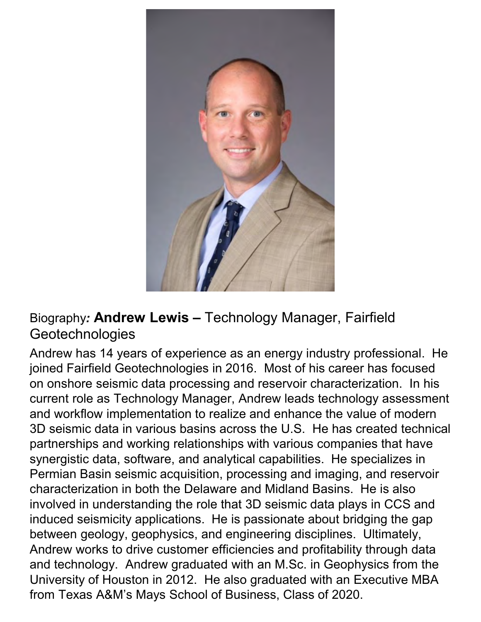

## Biography*:* **Andrew Lewis –** Technology Manager, Fairfield **Geotechnologies**

Andrew has 14 years of experience as an energy industry professional. He joined Fairfield Geotechnologies in 2016. Most of his career has focused on onshore seismic data processing and reservoir characterization. In his current role as Technology Manager, Andrew leads technology assessment and workflow implementation to realize and enhance the value of modern 3D seismic data in various basins across the U.S. He has created technical partnerships and working relationships with various companies that have synergistic data, software, and analytical capabilities. He specializes in Permian Basin seismic acquisition, processing and imaging, and reservoir characterization in both the Delaware and Midland Basins. He is also involved in understanding the role that 3D seismic data plays in CCS and induced seismicity applications. He is passionate about bridging the gap between geology, geophysics, and engineering disciplines. Ultimately, Andrew works to drive customer efficiencies and profitability through data and technology. Andrew graduated with an M.Sc. in Geophysics from the University of Houston in 2012. He also graduated with an Executive MBA from Texas A&M's Mays School of Business, Class of 2020.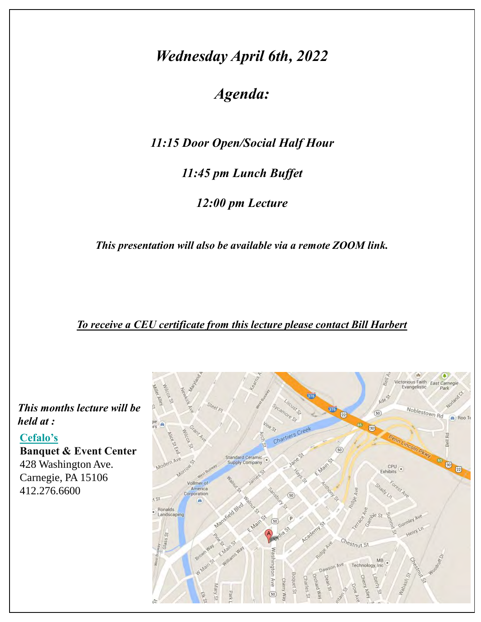## *Wednesday April 6th, 2022*

*Agenda:*

*11:15 Door Open/Social Half Hour*

*11:45 pm Lunch Buffet*

*12:00 pm Lecture*

*This presentation will also be available via a remote ZOOM link.* 

*To receive a CEU certificate from this lecture please contact Bill Harbert*

*This months lecture will be held at :*

#### **[Cefalo's](http://www.clubcefalo.com/)**

**Banquet & Event Center** 428 Washington Ave. Carnegie, PA 15106 412.276.6600

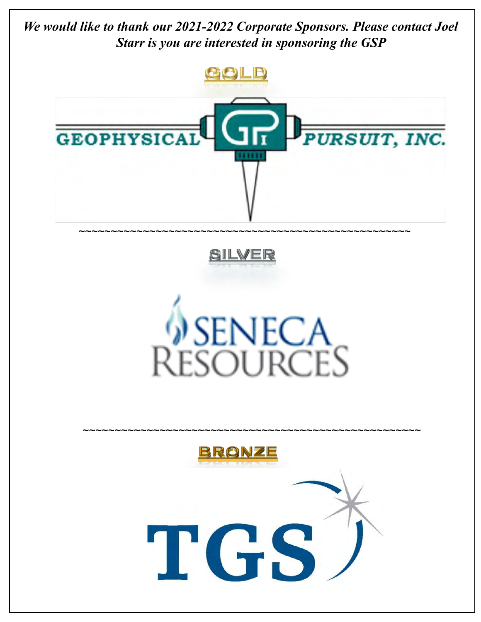*We would like to thank our 2021-2022 Corporate Sponsors. Please contact Joel Starr is you are interested in sponsoring the GSP*







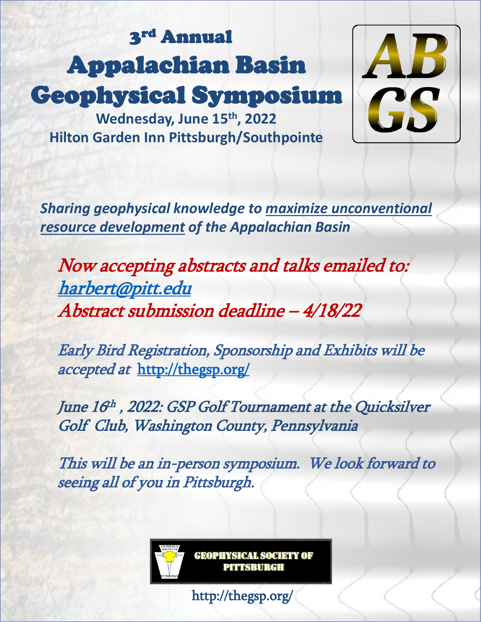## 3<sup>rd</sup> Annual Appalachian Basin Geophysical Symposium



**Wednesday, June 15th, 2022 Hilton Garden Inn Pittsburgh/Southpointe**

*Sharing geophysical knowledge to maximize unconventional resource development of the Appalachian Basin*

Now accepting abstracts and talks emailed to: [harbert@pitt.edu](mailto:Harbert@pitt.edu) Abstract submission deadline – 4/18/22

Early Bird Registration, Sponsorship and Exhibits will be accepted at <http://thegsp.org/>

June 16<sup>th</sup>, 2022: GSP Golf Tournament at the Quicksilver Golf Club, Washington County, Pennsylvania

This will be an in-person symposium. We look forward to seeing all of you in Pittsburgh.

> **GEOPHYSICAL SOCIETY OF** PITTSBURGH

http://thegsp.org/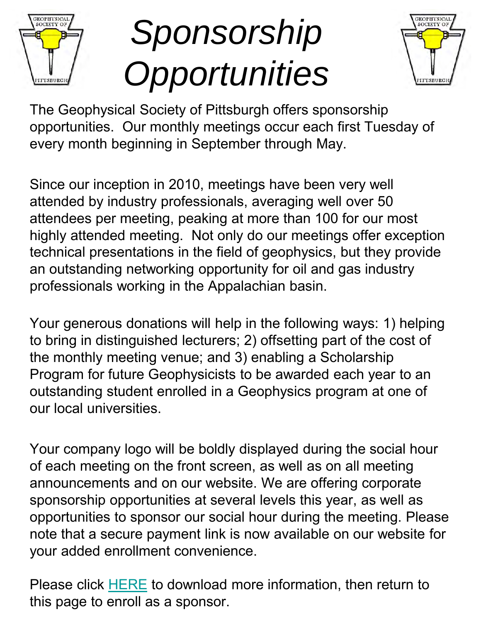

# *Sponsorship Opportunities*



The Geophysical Society of Pittsburgh offers sponsorship opportunities. Our monthly meetings occur each first Tuesday of every month beginning in September through May.

Since our inception in 2010, meetings have been very well attended by industry professionals, averaging well over 50 attendees per meeting, peaking at more than 100 for our most highly attended meeting. Not only do our meetings offer exception technical presentations in the field of geophysics, but they provide an outstanding networking opportunity for oil and gas industry professionals working in the Appalachian basin.

Your generous donations will help in the following ways: 1) helping to bring in distinguished lecturers; 2) offsetting part of the cost of the monthly meeting venue; and 3) enabling a Scholarship Program for future Geophysicists to be awarded each year to an outstanding student enrolled in a Geophysics program at one of our local universities.

Your company logo will be boldly displayed during the social hour of each meeting on the front screen, as well as on all meeting announcements and on our website. We are offering corporate sponsorship opportunities at several levels this year, as well as opportunities to sponsor our social hour during the meeting. Please note that a secure payment link is now available on our website for your added enrollment convenience.

Please click [HERE](https://www.thegsp.org/resources/Documents/Sponsorship%20FIscal/2016-2017%20Sponsorship%20Info/GSP%20Sponsorship%20Letter%20and%20Form%202016-2017_final.pdf) to download more information, then return to this page to enroll as a sponsor.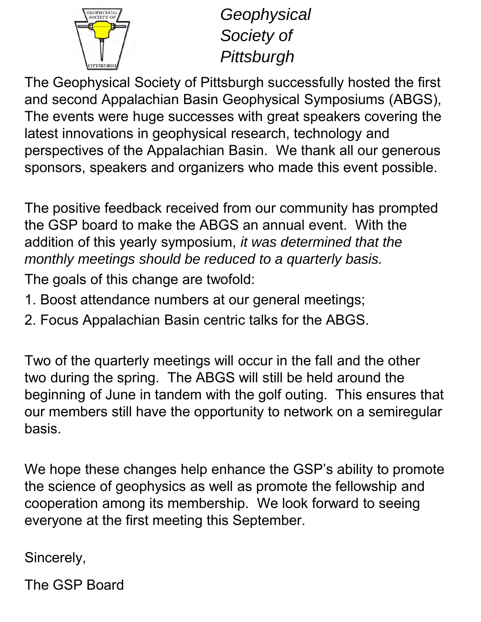

*Geophysical Society of Pittsburgh* 

The Geophysical Society of Pittsburgh successfully hosted the first and second Appalachian Basin Geophysical Symposiums (ABGS), The events were huge successes with great speakers covering the latest innovations in geophysical research, technology and perspectives of the Appalachian Basin. We thank all our generous sponsors, speakers and organizers who made this event possible.

The positive feedback received from our community has prompted the GSP board to make the ABGS an annual event. With the addition of this yearly symposium, *it was determined that the monthly meetings should be reduced to a quarterly basis.*

The goals of this change are twofold:

- 1. Boost attendance numbers at our general meetings;
- 2. Focus Appalachian Basin centric talks for the ABGS.

Two of the quarterly meetings will occur in the fall and the other two during the spring. The ABGS will still be held around the beginning of June in tandem with the golf outing. This ensures that our members still have the opportunity to network on a semiregular basis.

We hope these changes help enhance the GSP's ability to promote the science of geophysics as well as promote the fellowship and cooperation among its membership. We look forward to seeing everyone at the first meeting this September.

Sincerely,

The GSP Board